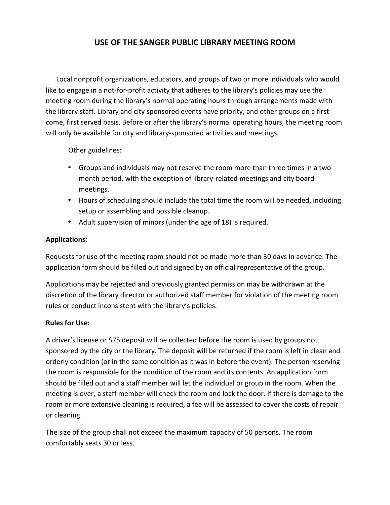# **USE OF THE SANGER PUBLIC LIBRARY MEETING ROOM**

 Local nonprofit organizations, educators, and groups of two or more individuals who would like to engage in a not-for-profit activity that adheres to the library's policies may use the meeting room during the library's normal operating hours through arrangements made with the library staff. Library and city sponsored events have priority, and other groups on a first come, first served basis. Before or after the library's normal operating hours, the meeting room will only be available for city and library-sponsored activities and meetings.

Other guidelines:

- Groups and individuals may not reserve the room more than three times in a two month period, with the exception of library-related meetings and city board meetings.
- Hours of scheduling should include the total time the room will be needed, including setup or assembling and possible cleanup.
- Adult supervision of minors (under the age of 18) is required.

### **Applications:**

Requests for use of the meeting room should not be made more than 30 days in advance. The application form should be filled out and signed by an official representative of the group.

Applications may be rejected and previously granted permission may be withdrawn at the discretion of the library director or authorized staff member for violation of the meeting room rules or conduct inconsistent with the library's policies.

#### **Rules for Use:**

A driver's license or \$75 deposit will be collected before the room is used by groups not sponsored by the city or the library. The deposit will be returned if the room is left in clean and orderly condition (or in the same condition as it was in before the event). The person reserving the room is responsible for the condition of the room and its contents. An application form should be filled out and a staff member will let the individual or group in the room. When the meeting is over, a staff member will check the room and lock the door. If there is damage to the room or more extensive cleaning is required, a fee will be assessed to cover the costs of repair or cleaning.

The size of the group shall not exceed the maximum capacity of 50 persons. The room comfortably seats 30 or less.